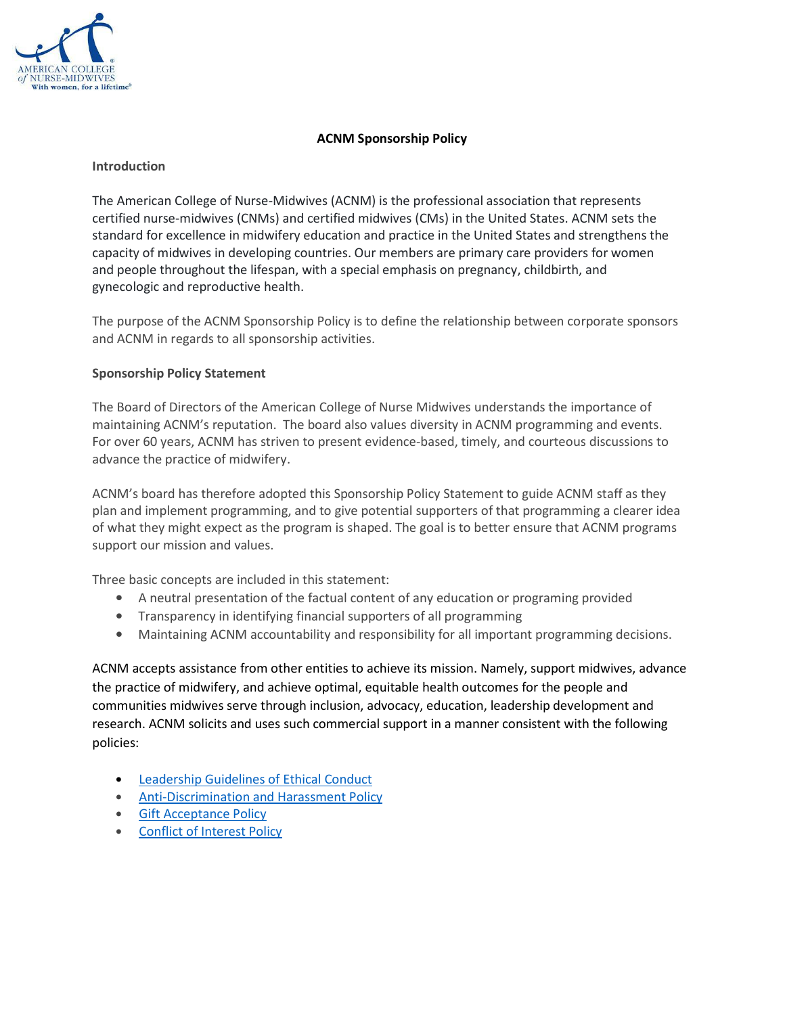

### **ACNM Sponsorship Policy**

#### **Introduction**

The American College of Nurse-Midwives (ACNM) is the professional association that represents certified nurse-midwives (CNMs) and certified midwives (CMs) in the United States. ACNM sets the standard for excellence in midwifery education and practice in the United States and strengthens the capacity of midwives in developing countries. Our members are primary care providers for women and people throughout the lifespan, with a special emphasis on pregnancy, childbirth, and gynecologic and reproductive health.

The purpose of the ACNM Sponsorship Policy is to define the relationship between corporate sponsors and ACNM in regards to all sponsorship activities.

### **Sponsorship Policy Statement**

The Board of Directors of the American College of Nurse Midwives understands the importance of maintaining ACNM's reputation. The board also values diversity in ACNM programming and events. For over 60 years, ACNM has striven to present evidence-based, timely, and courteous discussions to advance the practice of midwifery.

ACNM's board has therefore adopted this Sponsorship Policy Statement to guide ACNM staff as they plan and implement programming, and to give potential supporters of that programming a clearer idea of what they might expect as the program is shaped. The goal is to better ensure that ACNM programs support our mission and values.

Three basic concepts are included in this statement:

- A neutral presentation of the factual content of any education or programing provided
- Transparency in identifying financial supporters of all programming
- Maintaining ACNM accountability and responsibility for all important programming decisions.

ACNM accepts assistance from other entities to achieve its mission. Namely, support midwives, advance the practice of midwifery, and achieve optimal, equitable health outcomes for the people and communities midwives serve through inclusion, advocacy, education, leadership development and research. ACNM solicits and uses such commercial support in a manner consistent with the following policies:

- Leadership Guidelines of Ethical Conduct
- Anti-Discrimination and Harassment Policy
- Gift Acceptance Policy
- Conflict of Interest Policy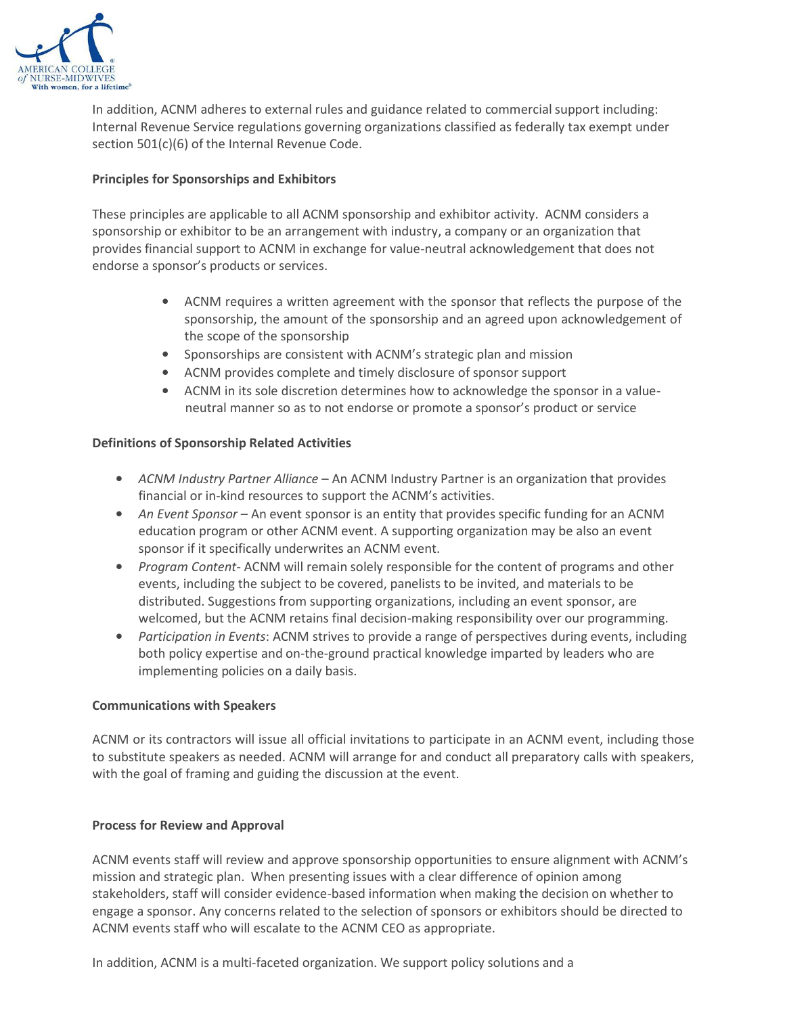

In addition, ACNM adheres to external rules and guidance related to commercial support including: Internal Revenue Service regulations governing organizations classified as federally tax exempt under section 501(c)(6) of the Internal Revenue Code.

## **Principles for Sponsorships and Exhibitors**

These principles are applicable to all ACNM sponsorship and exhibitor activity. ACNM considers a sponsorship or exhibitor to be an arrangement with industry, a company or an organization that provides financial support to ACNM in exchange for value-neutral acknowledgement that does not endorse a sponsor's products or services.

- ACNM requires a written agreement with the sponsor that reflects the purpose of the sponsorship, the amount of the sponsorship and an agreed upon acknowledgement of the scope of the sponsorship
- Sponsorships are consistent with ACNM's strategic plan and mission
- ACNM provides complete and timely disclosure of sponsor support
- ACNM in its sole discretion determines how to acknowledge the sponsor in a valueneutral manner so as to not endorse or promote a sponsor's product or service

# **Definitions of Sponsorship Related Activities**

- *ACNM Industry Partner Alliance*  An ACNM Industry Partner is an organization that provides financial or in-kind resources to support the ACNM's activities.
- *An Event Sponsor*  An event sponsor is an entity that provides specific funding for an ACNM education program or other ACNM event. A supporting organization may be also an event sponsor if it specifically underwrites an ACNM event.
- *Program Content* ACNM will remain solely responsible for the content of programs and other events, including the subject to be covered, panelists to be invited, and materials to be distributed. Suggestions from supporting organizations, including an event sponsor, are welcomed, but the ACNM retains final decision-making responsibility over our programming.
- *Participation in Events*: ACNM strives to provide a range of perspectives during events, including both policy expertise and on-the-ground practical knowledge imparted by leaders who are implementing policies on a daily basis.

### **Communications with Speakers**

ACNM or its contractors will issue all official invitations to participate in an ACNM event, including those to substitute speakers as needed. ACNM will arrange for and conduct all preparatory calls with speakers, with the goal of framing and guiding the discussion at the event.

### **Process for Review and Approval**

ACNM events staff will review and approve sponsorship opportunities to ensure alignment with ACNM's mission and strategic plan. When presenting issues with a clear difference of opinion among stakeholders, staff will consider evidence-based information when making the decision on whether to engage a sponsor. Any concerns related to the selection of sponsors or exhibitors should be directed to ACNM events staff who will escalate to the ACNM CEO as appropriate.

In addition, ACNM is a multi-faceted organization. We support policy solutions and a